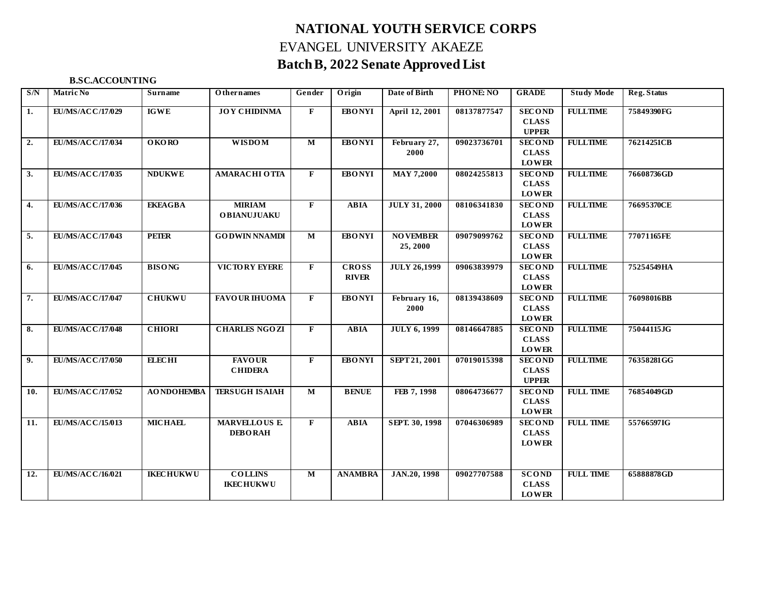# **NATIONAL YOUTH SERVICE CORPS** EVANGEL UNIVERSITY AKAEZE **Batch B, 2022 Senate Approved List**

# **B.SC.ACCOUNTING**

| S/N | Matric No               | Surname            | <b>Othernames</b>                     | Gender                  | Origin                       | Date of Birth               | PHONE: NO   | <b>GRADE</b>                                  | <b>Study Mode</b> | <b>Reg. Status</b> |
|-----|-------------------------|--------------------|---------------------------------------|-------------------------|------------------------------|-----------------------------|-------------|-----------------------------------------------|-------------------|--------------------|
| 1.  | EU/MS/ACC/17/029        | <b>IGWE</b>        | <b>JOY CHIDINMA</b>                   | $\mathbf{F}$            | <b>EBONYI</b>                | April 12, 2001              | 08137877547 | <b>SECOND</b><br><b>CLASS</b><br><b>UPPER</b> | <b>FULLTIME</b>   | 75849390FG         |
| 2.  | EU/MS/ACC/17/034        | <b>OKORO</b>       | <b>WISDOM</b>                         | $\mathbf M$             | <b>EBONYI</b>                | February 27,<br>2000        | 09023736701 | <b>SECOND</b><br><b>CLASS</b><br><b>LOWER</b> | <b>FULLTIME</b>   | 76214251CB         |
| 3.  | EU/MS/ACC/17/035        | <b>NDUKWE</b>      | <b>AMARACHI O TTA</b>                 | $\mathbf{F}$            | <b>EBONYI</b>                | <b>MAY 7,2000</b>           | 08024255813 | <b>SECOND</b><br><b>CLASS</b><br><b>LOWER</b> | <b>FULLTIME</b>   | 76608736GD         |
| 4.  | EU/MS/ACC/17/036        | <b>EKEAGBA</b>     | <b>MIRIAM</b><br><b>OBIANUJUAKU</b>   | $\mathbf{F}$            | <b>ABIA</b>                  | <b>JULY 31, 2000</b>        | 08106341830 | <b>SECOND</b><br><b>CLASS</b><br><b>LOWER</b> | <b>FULLTIME</b>   | 76695370CE         |
| 5.  | EU/MS/ACC/17/043        | <b>PEIER</b>       | <b>GODWIN NNAMDI</b>                  | $\mathbf M$             | <b>EBONYI</b>                | <b>NOVEMBER</b><br>25, 2000 | 09079099762 | <b>SECOND</b><br><b>CLASS</b><br><b>LOWER</b> | <b>FULLTIME</b>   | 77071165FE         |
| 6.  | EU/MS/ACC/17/045        | <b>BISONG</b>      | VICTORY EYERE                         | $\mathbf{F}$            | <b>CROSS</b><br><b>RIVER</b> | <b>JULY 26,1999</b>         | 09063839979 | <b>SECOND</b><br><b>CLASS</b><br><b>LOWER</b> | <b>FULLTIME</b>   | 75254549HA         |
| 7.  | EU/MS/ACC/17/047        | <b>CHUKWU</b>      | <b>FAVOUR IHUOMA</b>                  | $\mathbf{F}$            | <b>EBONYI</b>                | February 16,<br>2000        | 08139438609 | <b>SECOND</b><br><b>CLASS</b><br><b>LOWER</b> | <b>FULLTIME</b>   | 76098016BB         |
| 8.  | EU/MS/ACC/17/048        | <b>CHIORI</b>      | <b>CHARLES NGOZI</b>                  | F                       | <b>ABIA</b>                  | <b>JULY 6, 1999</b>         | 08146647885 | <b>SECOND</b><br><b>CLASS</b><br><b>LOWER</b> | <b>FULLTIME</b>   | 75044115JG         |
| 9.  | EU/MS/ACC/17/050        | <b>ELECHI</b>      | <b>FAVOUR</b><br><b>CHIDERA</b>       | F                       | <b>EBONYI</b>                | SEPT 21, 2001               | 07019015398 | <b>SECOND</b><br><b>CLASS</b><br><b>UPPER</b> | <b>FULLTIME</b>   | 76358281GG         |
| 10. | EU/MS/ACC/17/052        | <b>AO NDOHEMBA</b> | <b>TERSUGH ISAIAH</b>                 | $\overline{\mathbf{M}}$ | <b>BENUE</b>                 | FEB 7, 1998                 | 08064736677 | <b>SECOND</b><br><b>CLASS</b><br><b>LOWER</b> | <b>FULL TIME</b>  | 76854049GD         |
| 11. | EU/MS/ACC/15/013        | <b>MICHAEL</b>     | <b>MARVELLOUS E</b><br><b>DEBORAH</b> | $\mathbf{F}$            | <b>ABIA</b>                  | SEPT. 30, 1998              | 07046306989 | <b>SECOND</b><br><b>CLASS</b><br><b>LOWER</b> | <b>FULL TIME</b>  | 55766597IG         |
| 12. | <b>EU/MS/ACC/16/021</b> | <b>IKECHUKWU</b>   | <b>COLLINS</b><br><b>IKECHUKWU</b>    | $\overline{\mathbf{M}}$ | <b>ANAMBRA</b>               | JAN.20, 1998                | 09027707588 | <b>SCOND</b><br><b>CLASS</b><br><b>LOWER</b>  | <b>FULL TIME</b>  | 65888878GD         |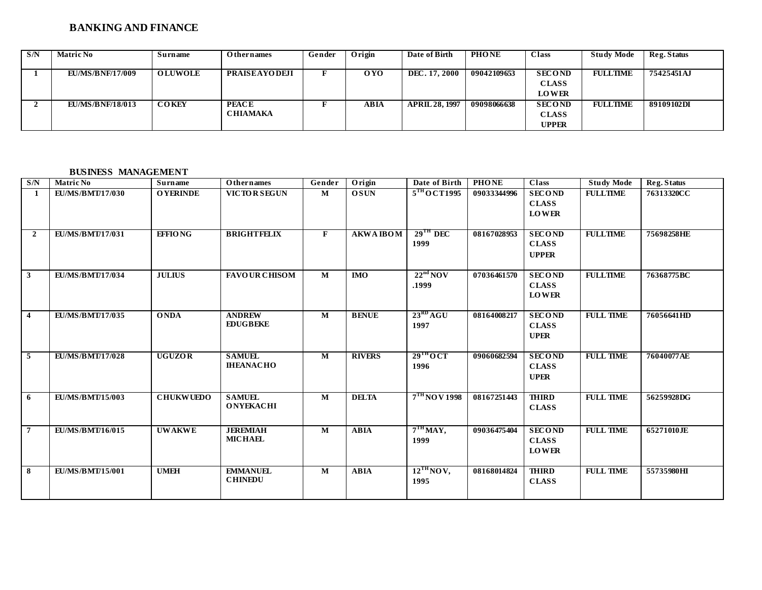# **BANKING AND FINANCE**

| S/N | <b>Matric No</b>        | Surname        | <b>Othernames</b>    | Gender | Origin | Date of Birth         | <b>PHONE</b> | Class         | <b>Study Mode</b> | Reg. Status |
|-----|-------------------------|----------------|----------------------|--------|--------|-----------------------|--------------|---------------|-------------------|-------------|
|     |                         |                |                      |        |        |                       |              |               |                   |             |
|     | <b>EU/MS/BNF/17/009</b> | <b>OLUWOLE</b> | <b>PRAISEAYODEJI</b> |        | 0YO    | DEC. 17, 2000         | 09042109653  | <b>SECOND</b> | <b>FULLTIME</b>   | 75425451AJ  |
|     |                         |                |                      |        |        |                       |              | <b>CLASS</b>  |                   |             |
|     |                         |                |                      |        |        |                       |              | <b>LOWER</b>  |                   |             |
|     | <b>EU/MS/BNF/18/013</b> | <b>COKEY</b>   | <b>PEACE</b>         |        | ABIA   | <b>APRIL 28, 1997</b> | 09098066638  | <b>SECOND</b> | FULLTIME          | 89109102DI  |
|     |                         |                | <b>CHIAMAKA</b>      |        |        |                       |              | <b>CLASS</b>  |                   |             |
|     |                         |                |                      |        |        |                       |              | <b>UPPER</b>  |                   |             |

# **BUSINESS MANAGEMENT**

| S/N            | <b>Matric No</b>        | Surname          | <b>Othernames</b>                 | Gender                  | Origin           | Date of Birth                  | <b>PHONE</b> | <b>Class</b>                                  | <b>Study Mode</b> | Reg. Status |
|----------------|-------------------------|------------------|-----------------------------------|-------------------------|------------------|--------------------------------|--------------|-----------------------------------------------|-------------------|-------------|
| -1             | EU/MS/BMT/17/030        | <b>O YERINDE</b> | <b>VICTOR SEGUN</b>               | $\mathbf{M}$            | <b>OSUN</b>      | $5TH$ OCT1995                  | 09033344996  | <b>SECOND</b><br><b>CLASS</b><br><b>LOWER</b> | <b>FULLTIME</b>   | 76313320CC  |
| <sup>2</sup>   | <b>EU/MS/BMT/17/031</b> | <b>EFFIONG</b>   | <b>BRIGHTFELIX</b>                | F                       | <b>AKWA IBOM</b> | $29$ <sup>TH</sup> DEC<br>1999 | 08167028953  | <b>SECOND</b><br><b>CLASS</b><br><b>UPPER</b> | <b>FULLTIME</b>   | 75698258HE  |
| $\mathbf{3}$   | EU/MS/BMT/17/034        | <b>JULIUS</b>    | <b>FAVOUR CHISOM</b>              | M                       | <b>IMO</b>       | 22 <sup>nd</sup> NOV<br>.1999  | 07036461570  | <b>SECOND</b><br><b>CLASS</b><br><b>LOWER</b> | <b>FULLTIME</b>   | 76368775BC  |
| $\overline{4}$ | <b>EU/MS/BMT/17/035</b> | <b>ONDA</b>      | <b>ANDREW</b><br><b>EDUGBEKE</b>  | $\mathbf{M}$            | <b>BENUE</b>     | $23^{RD}AGU$<br>1997           | 08164008217  | <b>SECOND</b><br><b>CLASS</b><br><b>UPER</b>  | <b>FULL TIME</b>  | 76056641HD  |
| 5              | <b>EU/MS/BMT/17/028</b> | <b>UGUZOR</b>    | <b>SAMUEL</b><br><b>IHEANACHO</b> | $\overline{\mathbf{M}}$ | <b>RIVERS</b>    | $29^{\text{TH}}$ OCT<br>1996   | 09060682594  | <b>SECOND</b><br><b>CLASS</b><br><b>UPER</b>  | <b>FULL TIME</b>  | 76040077AE  |
| 6              | <b>EU/MS/BMT/15/003</b> | <b>CHUKWUEDO</b> | <b>SAMUEL</b><br><b>ONYEKACHI</b> | $\mathbf{M}$            | <b>DELTA</b>     | 7 <sup>TH</sup> NO V 1998      | 08167251443  | <b>THIRD</b><br><b>CLASS</b>                  | <b>FULL TIME</b>  | 56259928DG  |
| 7              | <b>EU/MS/BMT/16/015</b> | <b>UWAKWE</b>    | <b>JEREMIAH</b><br><b>MICHAEL</b> | M                       | <b>ABIA</b>      | $7TH$ MAY,<br>1999             | 09036475404  | <b>SECOND</b><br><b>CLASS</b><br><b>LOWER</b> | <b>FULL TIME</b>  | 65271010JE  |
| 8              | <b>EU/MS/BMT/15/001</b> | <b>UMEH</b>      | <b>EMMANUEL</b><br><b>CHINEDU</b> | M                       | <b>ABIA</b>      | 12 <sup>TH</sup> NOV,<br>1995  | 08168014824  | <b>THIRD</b><br><b>CLASS</b>                  | <b>FULL TIME</b>  | 55735980HI  |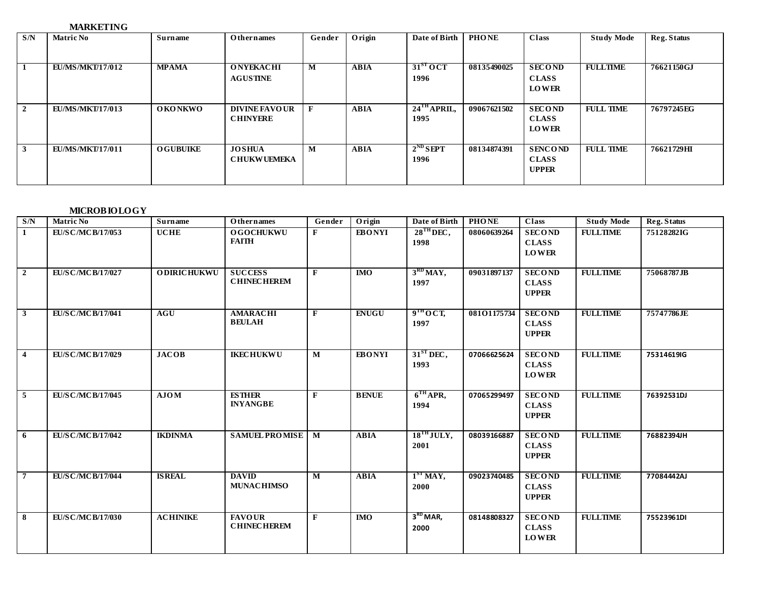# **MARKETING**

| S/N            | <b>Matric No</b>        | Surname          | <b>Othernames</b>                       | Gender | Origin      | Date of Birth                     | <b>PHONE</b> | <b>Class</b>                                   | <b>Study Mode</b> | Reg. Status |
|----------------|-------------------------|------------------|-----------------------------------------|--------|-------------|-----------------------------------|--------------|------------------------------------------------|-------------------|-------------|
| -1             | <b>EU/MS/MKT/17/012</b> | <b>MPAMA</b>     | <b>ONYEKACHI</b><br><b>AGUSTINE</b>     | M      | ABIA        | 31 <sup>ST</sup> OCT<br>1996      | 08135490025  | <b>SECOND</b><br><b>CLASS</b><br><b>LOWER</b>  | <b>FULLTIME</b>   | 76621150GJ  |
| $\overline{2}$ | <b>EU/MS/MKT/17/013</b> | <b>OKONKWO</b>   | <b>DIVINE FAVOUR</b><br><b>CHINYERE</b> | F      | <b>ABIA</b> | $24$ <sup>TH</sup> APRIL,<br>1995 | 09067621502  | <b>SECOND</b><br><b>CLASS</b><br><b>LOWER</b>  | <b>FULL TIME</b>  | 76797245EG  |
| 3              | <b>EU/MS/MKT/17/011</b> | <b>O GUBUIKE</b> | <b>JOSHUA</b><br><b>CHUKWUEMEKA</b>     | M      | <b>ABIA</b> | $2^{ND}$ SEPT<br>1996             | 08134874391  | <b>SENCOND</b><br><b>CLASS</b><br><b>UPPER</b> | <b>FULL TIME</b>  | 76621729HI  |

# **MICROBIOLOGY**

| S/N                     | <b>Matric No</b>          | <b>Surname</b>     | <b>Othernames</b>                    | Gender       | Origin        | Date of Birth                          | <b>PHONE</b> | Class                                                       | <b>Study Mode</b> | <b>Reg. Status</b> |
|-------------------------|---------------------------|--------------------|--------------------------------------|--------------|---------------|----------------------------------------|--------------|-------------------------------------------------------------|-------------------|--------------------|
| $\mathbf{1}$            | EU/SC/MCB/17/053          | <b>UCHE</b>        | <b>OGOCHUKWU</b><br><b>FAITH</b>     | $\mathbf{F}$ | <b>EBONYI</b> | $28^{\text{TH}}$ DEC,<br>1998          | 08060639264  | <b>SECOND</b><br><b>CLASS</b><br><b>LOWER</b>               | <b>FULLTIME</b>   | 75128282IG         |
| $\overline{2}$          | EU/SC/MCB/17/027          | <b>ODIRICHUKWU</b> | <b>SUCCESS</b><br><b>CHINECHEREM</b> | $\mathbf{F}$ | <b>IMO</b>    | $3^{RD}$ MAY,<br>1997                  | 09031897137  | <b>SECOND</b><br><b>CLASS</b><br><b>UPPER</b>               | <b>FULLTIME</b>   | 75068787JB         |
| $\mathbf{3}$            | EU/SC/MCB/17/041          | AGU                | <b>AMARACHI</b><br><b>BEULAH</b>     | $\mathbf{F}$ | <b>ENUGU</b>  | 9 <sup>TH</sup> OCT,<br>1997           | 08101175734  | <b>SECOND</b><br><b>CLASS</b><br><b>UPPER</b>               | <b>FULLTIME</b>   | 75747786JE         |
| $\overline{\mathbf{4}}$ | EU/S C/MC B/17/029        | <b>JACOB</b>       | <b>IKECHUKWU</b>                     | M            | <b>EBONYI</b> | $31ST$ DEC,<br>1993                    | 07066625624  | <b>SECOND</b><br><b>CLASS</b><br><b>LOWER</b>               | <b>FULLTIME</b>   | 75314619IG         |
| 5                       | EU/SC/MCB/17/045          | AJOM               | <b>ESTHER</b><br><b>INYANGBE</b>     | $\mathbf{F}$ | <b>BENUE</b>  | $6THAPR$ ,<br>1994                     | 07065299497  | $\overline{\text{SEC}}$ OND<br><b>CLASS</b><br><b>UPPER</b> | <b>FULLTIME</b>   | 76392531DJ         |
| 6                       | <b>EU/S C/MC B/17/042</b> | <b>IKDINMA</b>     | <b>SAMUEL PROMISE</b>   M            |              | <b>ABIA</b>   | $18^{TH}$ JULY,<br>2001                | 08039166887  | <b>SECOND</b><br><b>CLASS</b><br><b>UPPER</b>               | <b>FULLTIME</b>   | 76882394JH         |
| $\overline{7}$          | <b>EU/SC/MCB/17/044</b>   | <b>ISREAL</b>      | <b>DAVID</b><br><b>MUNACHIMSO</b>    | M            | <b>ABIA</b>   | $1ST$ MAY,<br>2000                     | 09023740485  | <b>SECOND</b><br><b>CLASS</b><br><b>UPPER</b>               | <b>FULLTIME</b>   | 77084442AJ         |
| 8                       | <b>EU/S C/MC B/17/030</b> | <b>ACHINIKE</b>    | <b>FAVOUR</b><br><b>CHINECHEREM</b>  | $\mathbf{F}$ | <b>IMO</b>    | 3 <sup>RD</sup> <sub>MAP</sub><br>2000 | 08148808327  | <b>SECOND</b><br><b>CLASS</b><br><b>LOWER</b>               | <b>FULLTIME</b>   | 75523961DI         |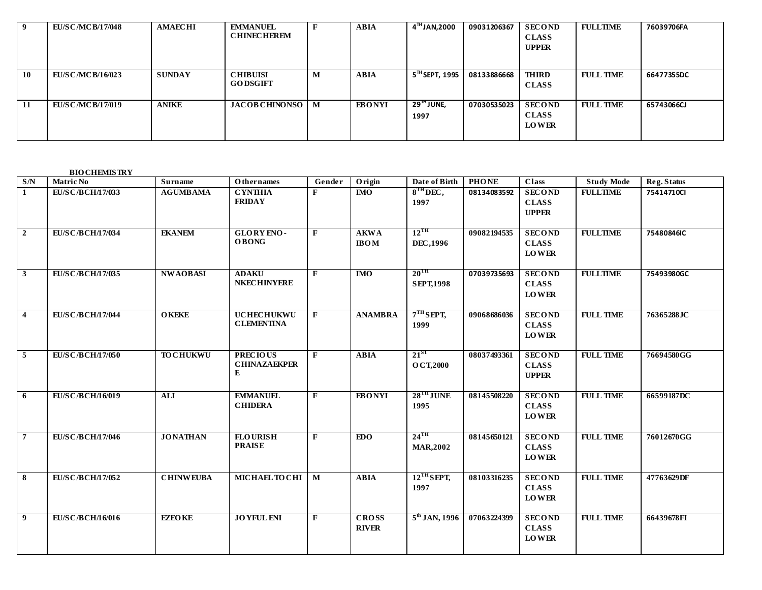|    | <b>EU/S C/MC B/17/048</b> | <b>AMAECHI</b> | <b>EMMANUEL</b><br><b>CHINECHEREM</b> |                | <b>ABIA</b>   | 4 <sup>™</sup> JAN,2000         | 09031206367 | <b>SECOND</b><br><b>CLASS</b><br><b>UPPER</b> | <b>FULLTIME</b>  | 76039706FA |
|----|---------------------------|----------------|---------------------------------------|----------------|---------------|---------------------------------|-------------|-----------------------------------------------|------------------|------------|
| 10 | <b>EU/S C/MC B/16/023</b> | <b>SUNDAY</b>  | <b>CHIBUISI</b><br><b>GODSGIFT</b>    | M              | <b>ABIA</b>   | $5^{\text{th}}$ SEPT, 1995      | 08133886668 | <b>THIRD</b><br><b>CLASS</b>                  | <b>FULL TIME</b> | 66477355DC |
| 11 | <b>EU/S C/MC B/17/019</b> | <b>ANIKE</b>   | <b>JACOB CHINONSO</b>                 | $\blacksquare$ | <b>EBONYI</b> | $29^{\mathrm{m}}$ JUNE,<br>1997 | 07030535023 | <b>SECOND</b><br><b>CLASS</b><br><b>LOWER</b> | <b>FULL TIME</b> | 65743066CJ |

**BIO CHEMISTRY**

| S/N            | <b>Matric No</b>          | <b>Surname</b>   | <b>Othernames</b>                           | Gender       | Origin                       | Date of Birth                         | <b>PHONE</b> | Class                                         | <b>Study Mode</b> | Reg. Status |
|----------------|---------------------------|------------------|---------------------------------------------|--------------|------------------------------|---------------------------------------|--------------|-----------------------------------------------|-------------------|-------------|
| $\mathbf{1}$   | EU/SC/BCH/17/033          | <b>AGUMBAMA</b>  | <b>CYNTHIA</b><br><b>FRIDAY</b>             | F            | <b>IMO</b>                   | $8TH$ DEC,<br>1997                    | 08134083592  | <b>SECOND</b><br><b>CLASS</b><br><b>UPPER</b> | <b>FULLTIME</b>   | 75414710Cl  |
| $\overline{2}$ | EU/SC/BCH/17/034          | <b>EKANEM</b>    | GLORY ENO-<br><b>OBONG</b>                  | $\mathbf{F}$ | <b>AKWA</b><br><b>IBOM</b>   | $12^{\text{TH}}$<br>DEC, 1996         | 09082194535  | <b>SECOND</b><br><b>CLASS</b><br><b>LOWER</b> | <b>FULLTIME</b>   | 75480846IC  |
| $\mathbf{3}$   | EU/SC/BCH/17/035          | <b>NWAOBASI</b>  | <b>ADAKU</b><br><b>NKECHINYERE</b>          | F            | $\overline{M}$               | $20^{\text{TH}}$<br><b>SEPT, 1998</b> | 07039735693  | <b>SECOND</b><br><b>CLASS</b><br><b>LOWER</b> | <b>FULLTIME</b>   | 75493980GC  |
| $\overline{4}$ | <b>EU/S C/B CH/17/044</b> | <b>OKEKE</b>     | <b>UCHECHUKWU</b><br><b>CLEMENTINA</b>      | F            | <b>ANAMBRA</b>               | $7TH$ SEPT,<br>1999                   | 09068686036  | <b>SECOND</b><br><b>CLASS</b><br><b>LOWER</b> | <b>FULL TIME</b>  | 76365288JC  |
| 5              | <b>EU/S C/B CH/17/050</b> | <b>TO CHUKWU</b> | <b>PRECIOUS</b><br><b>CHINAZAEKPER</b><br>E | $\mathbf{F}$ | <b>ABIA</b>                  | $21^{ST}$<br>O CT, 2000               | 08037493361  | <b>SECOND</b><br><b>CLASS</b><br><b>UPPER</b> | <b>FULL TIME</b>  | 76694580GG  |
| 6              | <b>EU/SC/BCH/16/019</b>   | <b>ALI</b>       | <b>EMMANUEL</b><br><b>CHIDERA</b>           | F            | <b>EBONYI</b>                | $28$ <sup>TH</sup> JUNE<br>1995       | 08145508220  | <b>SECOND</b><br><b>CLASS</b><br><b>LOWER</b> | <b>FULL TIME</b>  | 66599187DC  |
| $\overline{7}$ | <b>EU/S C/B CH/17/046</b> | <b>JONATHAN</b>  | <b>FLOURISH</b><br><b>PRAISE</b>            | $\mathbf{F}$ | EDO <sub>1</sub>             | $24$ <sup>TH</sup><br><b>MAR,2002</b> | 08145650121  | <b>SECOND</b><br><b>CLASS</b><br><b>LOWER</b> | <b>FULL TIME</b>  | 76012670GG  |
| 8              | <b>EU/S C/B CH/17/052</b> | <b>CHINWEUBA</b> | MICHAEL TO CHI   M                          |              | <b>ABIA</b>                  | $12$ <sup>TH</sup> SEPT,<br>1997      | 08103316235  | <b>SECOND</b><br><b>CLASS</b><br><b>LOWER</b> | <b>FULL TIME</b>  | 47763629DF  |
| 9              | <b>EU/S C/B CH/16/016</b> | <b>EZEO KE</b>   | <b>JOYFUL ENI</b>                           | F            | <b>CROSS</b><br><b>RIVER</b> | $5th$ JAN, 1996                       | 07063224399  | <b>SECOND</b><br><b>CLASS</b><br><b>LOWER</b> | <b>FULL TIME</b>  | 66439678FI  |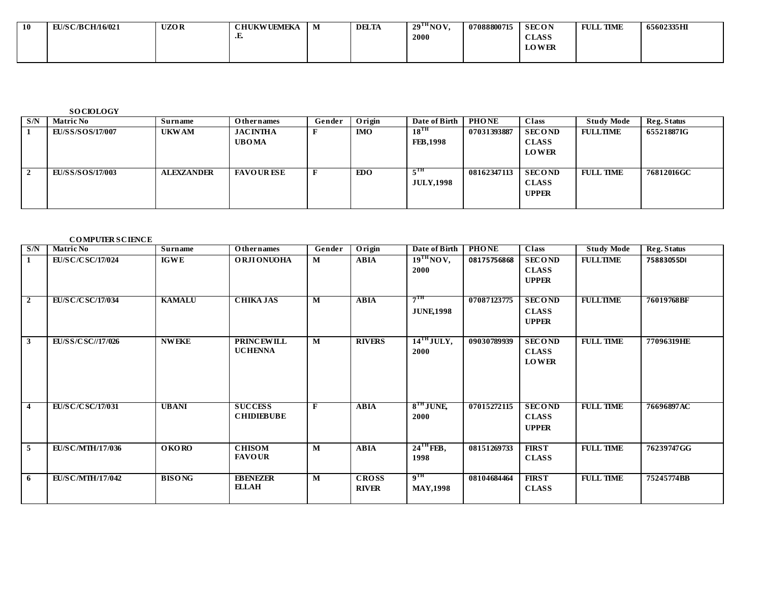| <b>10</b> | 'S C/B CH/16/021<br>EU 1/9 | <b>UZOR</b> | <b>CHUKWUEMEKA</b> | IVI | <b>DELTA</b> | 29 <sup>1H</sup> NOV. | 07088800715 | <b>SECON</b> | <b>TIME</b><br><b>FULL</b> | 65602335HI |
|-----------|----------------------------|-------------|--------------------|-----|--------------|-----------------------|-------------|--------------|----------------------------|------------|
|           |                            |             | تت                 |     |              | 2000                  |             | <b>CLASS</b> |                            |            |
|           |                            |             |                    |     |              |                       |             | <b>LOWER</b> |                            |            |
|           |                            |             |                    |     |              |                       |             |              |                            |            |

**SO CIOLOGY**

| S/N | <b>Matric No</b> | Surname           | Othernames                      | Gender | Origin     | Date of Birth                       | <b>PHONE</b> | <b>Class</b>                                  | <b>Study Mode</b> | Reg. Status |
|-----|------------------|-------------------|---------------------------------|--------|------------|-------------------------------------|--------------|-----------------------------------------------|-------------------|-------------|
|     | EU/SS/SOS/17/007 | <b>UKWAM</b>      | <b>JACINTHA</b><br><b>UBOMA</b> |        | <b>IMO</b> | $18^{\text{TH}}$<br><b>FEB.1998</b> | 07031393887  | <b>SECOND</b><br><b>CLASS</b>                 | <b>FULLTIME</b>   | 65521887IG  |
|     |                  |                   |                                 |        |            |                                     |              | <b>LOWER</b>                                  |                   |             |
|     | EU/SS/SOS/17/003 | <b>ALEXZANDER</b> | <b>FAVOUR ESE</b>               |        | EDO        | 5 <sup>TH</sup><br><b>JULY.1998</b> | 08162347113  | <b>SECOND</b><br><b>CLASS</b><br><b>UPPER</b> | <b>FULL TIME</b>  | 76812016GC  |

#### **CO MPUTER SCIENCE**

| S/N            | <b>Matric No</b>          | Surname       | Othernames                          | Gender       | Origin                       | Date of Birth                         | <b>PHONE</b> | $\overline{\text{Class}}$                     | <b>Study Mode</b> | Reg. Status |
|----------------|---------------------------|---------------|-------------------------------------|--------------|------------------------------|---------------------------------------|--------------|-----------------------------------------------|-------------------|-------------|
| $\mathbf{1}$   | <b>EU/SC/CSC/17/024</b>   | <b>IGWE</b>   | <b>ORJIONUOHA</b>                   | M            | <b>ABIA</b>                  | $19TH$ NOV,<br>2000                   | 08175756868  | <b>SECOND</b><br><b>CLASS</b><br><b>UPPER</b> | <b>FULLTIME</b>   | 75883055DI  |
| 2              | <b>EU/S C/C SC/17/034</b> | <b>KAMALU</b> | <b>CHIKA JAS</b>                    | M            | <b>ABIA</b>                  | $7^{\mathrm{TH}}$<br><b>JUNE</b> 1998 | 07087123775  | <b>SECOND</b><br><b>CLASS</b><br><b>UPPER</b> | <b>FULLTIME</b>   | 76019768BF  |
| $\mathbf{3}$   | EU/SS/CSC//17/026         | <b>NWEKE</b>  | <b>PRINCEWILL</b><br><b>UCHENNA</b> | M            | <b>RIVERS</b>                | $14$ <sup>TH</sup> JULY,<br>2000      | 09030789939  | <b>SECOND</b><br><b>CLASS</b><br><b>LOWER</b> | <b>FULL TIME</b>  | 77096319HE  |
| $\overline{4}$ | EU/SC/CSC/17/031          | <b>UBANI</b>  | <b>SUCCESS</b><br><b>CHIDIEBUBE</b> | $\mathbf{F}$ | <b>ABIA</b>                  | $8TH$ JUNE<br>2000                    | 07015272115  | <b>SECOND</b><br><b>CLASS</b><br><b>UPPER</b> | <b>FULL TIME</b>  | 76696897AC  |
| $\overline{5}$ | <b>EU/SC/MTH/17/036</b>   | O KO RO       | <b>CHISOM</b><br><b>FAVOUR</b>      | M            | <b>ABIA</b>                  | $24$ <sup>TH</sup> FEB,<br>1998       | 08151269733  | <b>FIRST</b><br><b>CLASS</b>                  | <b>FULL TIME</b>  | 76239747GG  |
| 6              | <b>EU/SC/MTH/17/042</b>   | <b>BISONG</b> | <b>EBENEZER</b><br><b>ELLAH</b>     | M            | <b>CROSS</b><br><b>RIVER</b> | 9 <sup>TH</sup><br><b>MAY,1998</b>    | 08104684464  | <b>FIRST</b><br><b>CLASS</b>                  | <b>FULL TIME</b>  | 75245774BB  |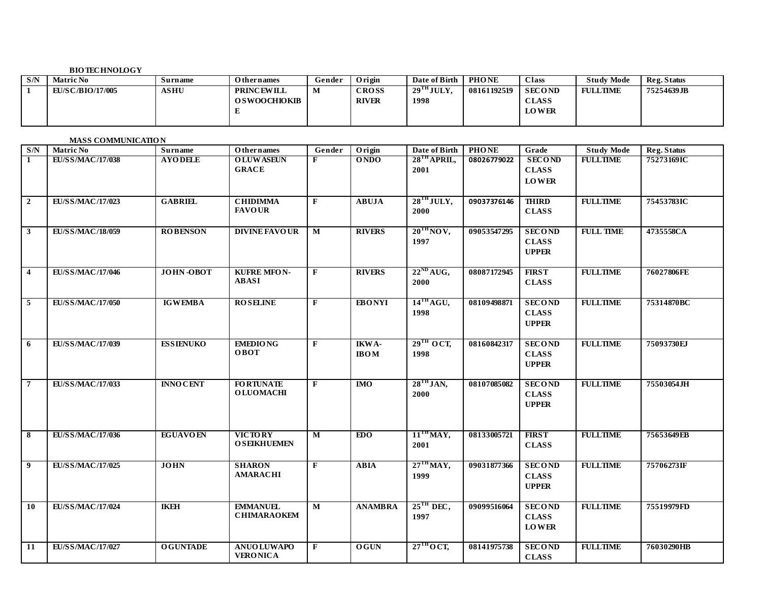### **BIO TECHNOLOGY**

| S/N | <b>Matric No</b>         | Surname     | <b>Othernames</b>                        | Gender | Origin                       | Date of Birth                   | <b>PHONE</b> | <b>Class</b>                                  | <b>Study Mode</b> | Reg. Status |
|-----|--------------------------|-------------|------------------------------------------|--------|------------------------------|---------------------------------|--------------|-----------------------------------------------|-------------------|-------------|
|     | <b>EU/S C/BIO/17/005</b> | <b>ASHU</b> | <b>PRINCEWILL</b><br><b>OSWOOCHIOKIB</b> | M      | <b>CROSS</b><br><b>RIVER</b> | $29$ <sup>TH</sup> JULY<br>1998 | 08161192519  | <b>SECOND</b><br><b>CLASS</b><br><b>LOWER</b> | <b>FULLTIME</b>   | 75254639JB  |

#### **MASS COMMUNICATIO N**

| $\mathbf{S}/\mathbf{N}$  | <b>Matric No</b>        | <b>Surname</b>   | <b>Othernames</b>                     | Gender                  | Origin                   | Date of Birth                     | <b>PHONE</b> | Grade                                         | <b>Study Mode</b> | Reg. Status |
|--------------------------|-------------------------|------------------|---------------------------------------|-------------------------|--------------------------|-----------------------------------|--------------|-----------------------------------------------|-------------------|-------------|
| $\mathbf{1}$             | <b>EU/SS/MAC/17/038</b> | <b>AYODELE</b>   | <b>OLUWASEUN</b><br><b>GRACE</b>      | F                       | <b>ONDO</b>              | $28$ <sup>TH</sup> APRIL,<br>2001 | 08026779022  | <b>SECOND</b><br><b>CLASS</b><br><b>LOWER</b> | <b>FULLTIME</b>   | 75273169IC  |
| $\overline{\mathbf{2}}$  | EU/SS/MAC/17/023        | <b>GABRIEL</b>   | <b>CHIDIMMA</b><br><b>FAVOUR</b>      | $\mathbf{F}$            | <b>ABUJA</b>             | $28$ <sup>TH</sup> JULY,<br>2000  | 09037376146  | <b>THIRD</b><br><b>CLASS</b>                  | <b>FULLTIME</b>   | 75453783IC  |
| $\overline{\mathbf{3}}$  | <b>EU/SS/MAC/18/059</b> | <b>ROBENSON</b>  | <b>DIVINE FAVOUR</b>                  | $\overline{\mathbf{M}}$ | <b>RIVERS</b>            | $20^{\text{TH}}$ NOV,<br>1997     | 09053547295  | <b>SECOND</b><br><b>CLASS</b><br><b>UPPER</b> | <b>FULL TIME</b>  | 4735558CA   |
| $\overline{\mathbf{4}}$  | <b>EU/SS/MAC/17/046</b> | JOHN-OBOT        | <b>KUFRE MFON-</b><br><b>ABASI</b>    | $\mathbf{F}$            | <b>RIVERS</b>            | $22^{ND}$ AUG,<br>2000            | 08087172945  | <b>FIRST</b><br><b>CLASS</b>                  | <b>FULLTIME</b>   | 76027806FE  |
| $\overline{\phantom{0}}$ | <b>EU/SS/MAC/17/050</b> | <b>IGWEMBA</b>   | <b>ROSELINE</b>                       | $\mathbf{F}$            | <b>EBONYI</b>            | $14$ <sup>TH</sup> AGU,<br>1998   | 08109498871  | <b>SECOND</b><br><b>CLASS</b><br><b>UPPER</b> | <b>FULLTIME</b>   | 75314870BC  |
| 6                        | EU/SS/MAC/17/039        | <b>ESSIENUKO</b> | <b>EMEDIONG</b><br>OBOT               | $\mathbf{F}$            | IKWA-<br>$\mathbf{IBOM}$ | $29$ <sup>TH</sup> OCT,<br>1998   | 08160842317  | <b>SECOND</b><br><b>CLASS</b><br><b>UPPER</b> | <b>FULLTIME</b>   | 75093730EJ  |
| $\overline{7}$           | EU/SS/MAC/17/033        | <b>INNO CENT</b> | <b>FORTUNATE</b><br><b>OLUOMACHI</b>  | $\mathbf{F}$            | <b>IMO</b>               | $28TH$ JAN,<br>2000               | 08107085082  | <b>SECOND</b><br><b>CLASS</b><br><b>UPPER</b> | <b>FULLTIME</b>   | 75503054JH  |
| $\overline{\mathbf{8}}$  | <b>EU/SS/MAC/17/036</b> | <b>EGUAVOEN</b>  | <b>VICTORY</b><br><b>OSEIKHUEMEN</b>  | $\overline{\mathbf{M}}$ | EDO                      | $11TH$ MAY,<br>2001               | 08133005721  | <b>FIRST</b><br><b>CLASS</b>                  | <b>FULLTIME</b>   | 75653649EB  |
| $\overline{9}$           | EU/SS/MAC/17/025        | <b>JOHN</b>      | <b>SHARON</b><br><b>AMARACHI</b>      | F                       | <b>ABIA</b>              | $27TH$ MAY,<br>1999               | 09031877366  | <b>SECOND</b><br><b>CLASS</b><br><b>UPPER</b> | <b>FULLTIME</b>   | 75706273IF  |
| 10                       | EU/SS/MAC/17/024        | <b>IKEH</b>      | <b>EMMANUEL</b><br><b>CHIMARAOKEM</b> | $\mathbf{M}$            | <b>ANAMBRA</b>           | $25^{\text{TH}}$ DEC,<br>1997     | 09099516064  | <b>SECOND</b><br><b>CLASS</b><br><b>LOWER</b> | <b>FULLTIME</b>   | 75519979FD  |
| 11                       | EU/SS/MAC/17/027        | <b>OGUNTADE</b>  | <b>ANUOLUWAPO</b><br><b>VERONICA</b>  | $\mathbf{F}$            | <b>OGUN</b>              | $27^{\text{TH}}$ OCT,             | 08141975738  | <b>SECOND</b><br><b>CLASS</b>                 | <b>FULLTIME</b>   | 76030290HB  |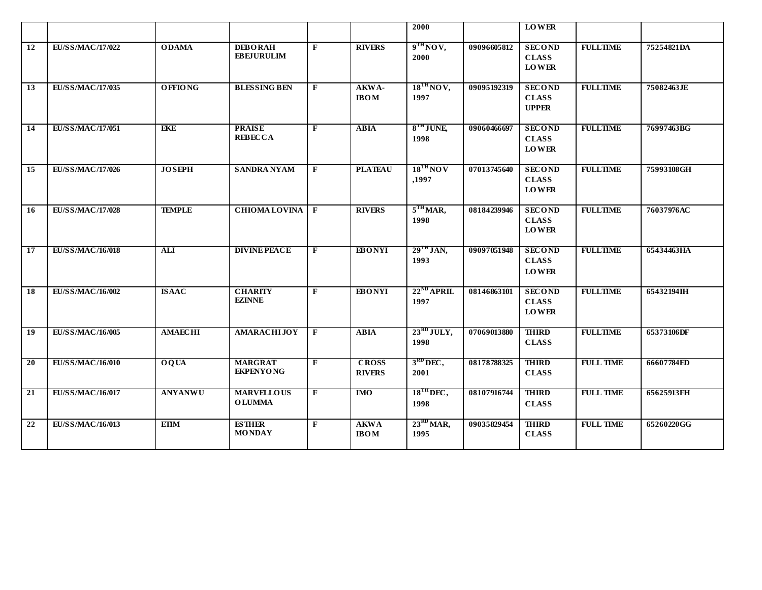|                 |                         |                  |                                     |                |                               | 2000                            |             | <b>LOWER</b>                                  |                  |            |
|-----------------|-------------------------|------------------|-------------------------------------|----------------|-------------------------------|---------------------------------|-------------|-----------------------------------------------|------------------|------------|
| 12              | EU/SS/MAC/17/022        | <b>ODAMA</b>     | <b>DEBORAH</b><br><b>EBEJURULIM</b> | F              | <b>RIVERS</b>                 | 9 <sup>TH</sup> NO V,<br>2000   | 09096605812 | <b>SECOND</b><br><b>CLASS</b><br><b>LOWER</b> | <b>FULLTIME</b>  | 75254821DA |
| 13              | EU/SS/MAC/17/035        | <b>OFFIONG</b>   | <b>BLESSING BEN</b>                 | $\mathbf{F}$   | AKWA-<br><b>IBOM</b>          | $18^{TH}$ NOV,<br>1997          | 09095192319 | <b>SECOND</b><br><b>CLASS</b><br><b>UPPER</b> | <b>FULLTIME</b>  | 75082463JE |
| 14              | <b>EU/SS/MAC/17/051</b> | <b>EKE</b>       | <b>PRAISE</b><br><b>REBECCA</b>     | $\overline{F}$ | <b>ABIA</b>                   | $8TH$ JUNE<br>1998              | 09060466697 | <b>SECOND</b><br><b>CLASS</b><br><b>LOWER</b> | <b>FULLTIME</b>  | 76997463BG |
| 15              | <b>EU/SS/MAC/17/026</b> | <b>JOSEPH</b>    | <b>SANDRA NYAM</b>                  | $\mathbf{F}$   | <b>PLATEAU</b>                | $18^{TH}$ NOV<br>,1997          | 07013745640 | <b>SECOND</b><br><b>CLASS</b><br><b>LOWER</b> | <b>FULLTIME</b>  | 75993108GH |
| 16              | <b>EU/SS/MAC/17/028</b> | <b>TEMPLE</b>    | <b>CHIOMA LOVINA</b>                | $\mathbf{F}$   | <b>RIVERS</b>                 | $5TH MAR$ ,<br>1998             | 08184239946 | <b>SECOND</b><br><b>CLASS</b><br><b>LOWER</b> | <b>FULLTIME</b>  | 76037976AC |
| 17              | <b>EU/SS/MAC/16/018</b> | $\overline{ALI}$ | <b>DIVINE PEACE</b>                 | $\mathbf{F}$   | <b>EBONYI</b>                 | $29$ <sup>TH</sup> JAN,<br>1993 | 09097051948 | <b>SECOND</b><br><b>CLASS</b><br><b>LOWER</b> | <b>FULLTIME</b>  | 65434463HA |
| 18              | EU/SS/MAC/16/002        | <b>ISAAC</b>     | <b>CHARITY</b><br><b>EZINNE</b>     | $\mathbf{F}$   | <b>EBONYI</b>                 | $22^{ND}$ APRIL<br>1997         | 08146863101 | <b>SECOND</b><br><b>CLASS</b><br><b>LOWER</b> | <b>FULLTIME</b>  | 65432194IH |
| $\overline{19}$ | EU/SS/MAC/16/005        | <b>AMAECHI</b>   | <b>AMARACHIJOY</b>                  | $\mathbf{F}$   | <b>ABIA</b>                   | $23^{RD}$ JULY,<br>1998         | 07069013880 | <b>THIRD</b><br><b>CLASS</b>                  | <b>FULLTIME</b>  | 65373106DF |
| $\overline{20}$ | <b>EU/SS/MAC/16/010</b> | <b>OQUA</b>      | <b>MARGRAT</b><br><b>EKPENYONG</b>  | $\mathbf{F}$   | <b>CROSS</b><br><b>RIVERS</b> | $3RD DEC$ ,<br>2001             | 08178788325 | <b>THIRD</b><br><b>CLASS</b>                  | <b>FULL TIME</b> | 66607784ED |
| $\overline{21}$ | <b>EU/SS/MAC/16/017</b> | <b>ANYANWU</b>   | <b>MARVELLOUS</b><br><b>OLUMMA</b>  | $\overline{F}$ | $\overline{M}$                | $18^{\text{TH}}$ DEC,<br>1998   | 08107916744 | <b>THIRD</b><br><b>CLASS</b>                  | <b>FULL TIME</b> | 65625913FH |
| 22              | <b>EU/SS/MAC/16/013</b> | <b>EIIM</b>      | <b>ESTHER</b><br><b>MONDAY</b>      | $\mathbf{F}$   | <b>AKWA</b><br><b>IBOM</b>    | $23^{RD}$ MAR,<br>1995          | 09035829454 | <b>THIRD</b><br><b>CLASS</b>                  | <b>FULL TIME</b> | 65260220GG |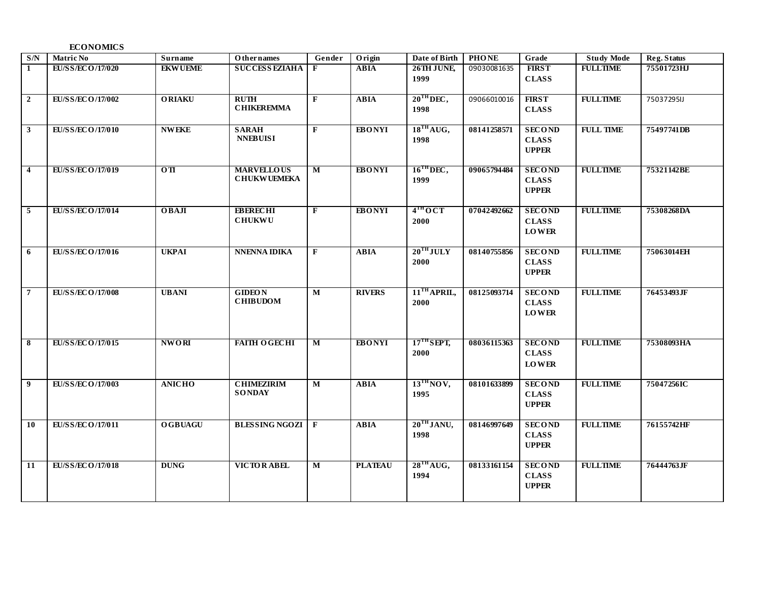#### **ECONOMICS**

| S/N                     | <b>Matric No</b> | Surname           | Othernames                       | Gender                  | Origin         | Date of Birth           | <b>PHONE</b> | Grade         | <b>Study Mode</b> | Reg. Status |
|-------------------------|------------------|-------------------|----------------------------------|-------------------------|----------------|-------------------------|--------------|---------------|-------------------|-------------|
| $\mathbf{1}$            | EU/SS/ECO/17/020 | <b>EKWUEME</b>    | <b>SUCCESS EZIAHA</b>            | F                       | <b>ABIA</b>    | 26TH JUNE               | 09030081635  | <b>FIRST</b>  | <b>FULLTIME</b>   | 75501723HJ  |
|                         |                  |                   |                                  |                         |                | 1999                    |              | <b>CLASS</b>  |                   |             |
|                         |                  |                   |                                  |                         |                |                         |              |               |                   |             |
| $\overline{2}$          | EU/SS/ECO/17/002 | <b>ORIAKU</b>     | <b>RUTH</b><br><b>CHIKEREMMA</b> | $\mathbf{F}$            | <b>ABIA</b>    | $20^{\text{TH}}$ DEC,   | 09066010016  | <b>FIRST</b>  | <b>FULLTIME</b>   | 75037295IJ  |
|                         |                  |                   |                                  |                         |                | 1998                    |              | <b>CLASS</b>  |                   |             |
| $\mathbf{3}$            | EU/SS/ECO/17/010 | <b>NWEKE</b>      | <b>SARAH</b>                     | $\mathbf{F}$            | <b>EBONYI</b>  | 18 <sup>TH</sup> AUG,   | 08141258571  | <b>SECOND</b> | <b>FULL TIME</b>  | 75497741DB  |
|                         |                  |                   | <b>NNEBUISI</b>                  |                         |                | 1998                    |              | <b>CLASS</b>  |                   |             |
|                         |                  |                   |                                  |                         |                |                         |              | <b>UPPER</b>  |                   |             |
|                         |                  |                   |                                  |                         |                |                         |              |               |                   |             |
| $\overline{\mathbf{4}}$ | EU/SS/ECO/17/019 | $\overline{0}$ TI | <b>MARVELLOUS</b>                | $\overline{\mathbf{M}}$ | <b>EBONYI</b>  | $16$ <sup>TH</sup> DEC, | 09065794484  | <b>SECOND</b> | <b>FULLTIME</b>   | 75321142BE  |
|                         |                  |                   | <b>CHUKWUEMEKA</b>               |                         |                | 1999                    |              | <b>CLASS</b>  |                   |             |
|                         |                  |                   |                                  |                         |                |                         |              | <b>UPPER</b>  |                   |             |
|                         |                  |                   |                                  |                         |                |                         |              |               |                   |             |
| $\overline{5}$          | EU/SS/ECO/17/014 | $0$ <b>BAJI</b>   | <b>EBERECHI</b>                  | $\mathbf{F}$            | <b>EBONYI</b>  | 4 <sup>TH</sup> OCT     | 07042492662  | <b>SECOND</b> | <b>FULLTIME</b>   | 75308268DA  |
|                         |                  |                   | <b>CHUKWU</b>                    |                         |                | 2000                    |              | <b>CLASS</b>  |                   |             |
|                         |                  |                   |                                  |                         |                |                         |              | <b>LOWER</b>  |                   |             |
| 6                       | EU/SS/ECO/17/016 | <b>UKPAI</b>      | <b>NNENNA IDIKA</b>              | $\mathbf{F}$            | <b>ABIA</b>    | $20^{\text{TH}}$ JULY   | 08140755856  | <b>SECOND</b> | <b>FULLTIME</b>   | 75063014EH  |
|                         |                  |                   |                                  |                         |                | 2000                    |              | <b>CLASS</b>  |                   |             |
|                         |                  |                   |                                  |                         |                |                         |              | <b>UPPER</b>  |                   |             |
|                         |                  |                   |                                  |                         |                |                         |              |               |                   |             |
| $7\phantom{.0}$         | EU/SS/ECO/17/008 | <b>UBANI</b>      | <b>GIDEON</b>                    | $\mathbf{M}$            | <b>RIVERS</b>  | $11TH$ APRIL,           | 08125093714  | <b>SECOND</b> | <b>FULLTIME</b>   | 76453493JF  |
|                         |                  |                   | <b>CHIBUDOM</b>                  |                         |                | 2000                    |              | <b>CLASS</b>  |                   |             |
|                         |                  |                   |                                  |                         |                |                         |              | <b>LOWER</b>  |                   |             |
|                         |                  |                   |                                  |                         |                |                         |              |               |                   |             |
|                         |                  |                   |                                  |                         |                |                         |              |               |                   |             |
| 8                       | EU/SS/ECO/17/015 | <b>NWORI</b>      | <b>FAITH OGECHI</b>              | $\overline{\mathbf{M}}$ | <b>EBONYI</b>  | $17TH$ SEPT,            | 08036115363  | <b>SECOND</b> | <b>FULLTIME</b>   | 75308093HA  |
|                         |                  |                   |                                  |                         |                | 2000                    |              | <b>CLASS</b>  |                   |             |
|                         |                  |                   |                                  |                         |                |                         |              | <b>LOWER</b>  |                   |             |
| $\overline{9}$          | EU/SS/ECO/17/003 | <b>ANICHO</b>     | <b>CHIMEZIRIM</b>                | M                       | <b>ABIA</b>    | $13^{\text{TH}}$ NOV,   | 08101633899  | <b>SECOND</b> | <b>FULLTIME</b>   | 75047256IC  |
|                         |                  |                   | <b>SONDAY</b>                    |                         |                | 1995                    |              | <b>CLASS</b>  |                   |             |
|                         |                  |                   |                                  |                         |                |                         |              | <b>UPPER</b>  |                   |             |
|                         |                  |                   |                                  |                         |                |                         |              |               |                   |             |
| 10                      | EU/SS/ECO/17/011 | <b>OGBUAGU</b>    | <b>BLESSING NGOZI F</b>          |                         | <b>ABIA</b>    | $20^{\text{TH}}$ JANU,  | 08146997649  | <b>SECOND</b> | <b>FULLTIME</b>   | 76155742HF  |
|                         |                  |                   |                                  |                         |                | 1998                    |              | <b>CLASS</b>  |                   |             |
|                         |                  |                   |                                  |                         |                |                         |              | <b>UPPER</b>  |                   |             |
|                         |                  |                   |                                  |                         |                |                         |              |               |                   |             |
| $\overline{11}$         | EU/SS/ECO/17/018 | <b>DUNG</b>       | <b>VICTORABEL</b>                | M                       | <b>PLATEAU</b> | 28 <sup>TH</sup> A UG,  | 08133161154  | <b>SECOND</b> | <b>FULLTIME</b>   | 76444763JF  |
|                         |                  |                   |                                  |                         |                | 1994                    |              | <b>CLASS</b>  |                   |             |
|                         |                  |                   |                                  |                         |                |                         |              | <b>UPPER</b>  |                   |             |
|                         |                  |                   |                                  |                         |                |                         |              |               |                   |             |